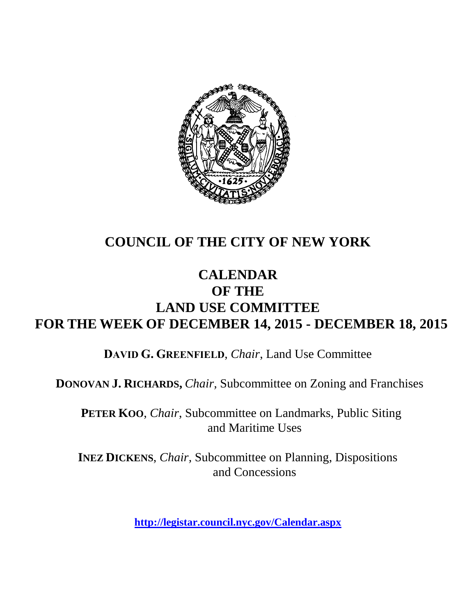

# **COUNCIL OF THE CITY OF NEW YORK**

# **CALENDAR OF THE LAND USE COMMITTEE FOR THE WEEK OF DECEMBER 14, 2015 - DECEMBER 18, 2015**

**DAVID G. GREENFIELD**, *Chair*, Land Use Committee

**DONOVAN J. RICHARDS,** *Chair,* Subcommittee on Zoning and Franchises

**PETER KOO**, *Chair*, Subcommittee on Landmarks, Public Siting and Maritime Uses

**INEZ DICKENS**, *Chair,* Subcommittee on Planning, Dispositions and Concessions

**<http://legistar.council.nyc.gov/Calendar.aspx>**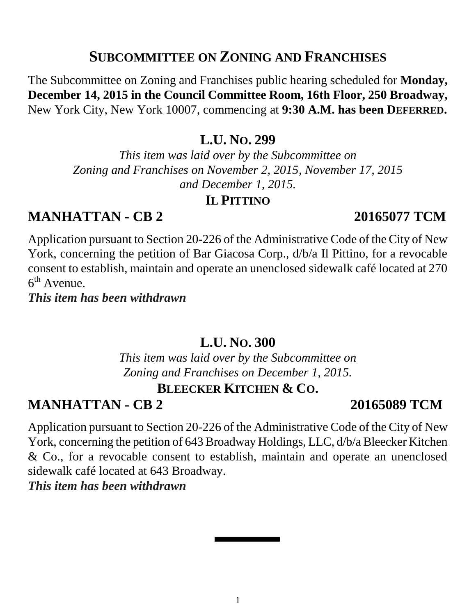### **SUBCOMMITTEE ON ZONING AND FRANCHISES**

The Subcommittee on Zoning and Franchises public hearing scheduled for **Monday, December 14, 2015 in the Council Committee Room, 16th Floor, 250 Broadway,**  New York City, New York 10007, commencing at **9:30 A.M. has been DEFERRED.**

**L.U. NO. 299**

*This item was laid over by the Subcommittee on Zoning and Franchises on November 2, 2015, November 17, 2015 and December 1, 2015.* 

### **IL PITTINO**

### **MANHATTAN - CB 2 20165077 TCM**

Application pursuant to Section 20-226 of the Administrative Code of the City of New York, concerning the petition of Bar Giacosa Corp., d/b/a Il Pittino, for a revocable consent to establish, maintain and operate an unenclosed sidewalk café located at 270  $6<sup>th</sup>$  Avenue.

*This item has been withdrawn*

### **L.U. NO. 300**

*This item was laid over by the Subcommittee on Zoning and Franchises on December 1, 2015.*

## **BLEECKER KITCHEN & CO.**

### **MANHATTAN - CB 2 20165089 TCM**

Application pursuant to Section 20-226 of the Administrative Code of the City of New York, concerning the petition of 643 Broadway Holdings, LLC, d/b/a Bleecker Kitchen & Co., for a revocable consent to establish, maintain and operate an unenclosed sidewalk café located at 643 Broadway.

*This item has been withdrawn*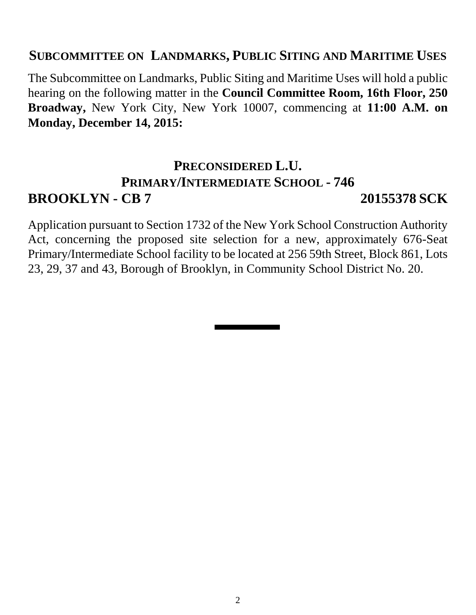### **SUBCOMMITTEE ON LANDMARKS, PUBLIC SITING AND MARITIME USES**

The Subcommittee on Landmarks, Public Siting and Maritime Uses will hold a public hearing on the following matter in the **Council Committee Room, 16th Floor, 250 Broadway,** New York City, New York 10007, commencing at **11:00 A.M. on Monday, December 14, 2015:**

# **PRECONSIDERED L.U. PRIMARY/INTERMEDIATE SCHOOL - 746 BROOKLYN - CB 7 20155378 SCK**

Application pursuant to Section 1732 of the New York School Construction Authority Act, concerning the proposed site selection for a new, approximately 676-Seat Primary/Intermediate School facility to be located at 256 59th Street, Block 861, Lots 23, 29, 37 and 43, Borough of Brooklyn, in Community School District No. 20.